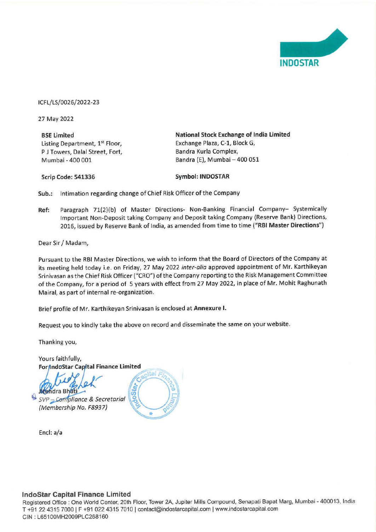

ICFL/LS/0026/2022-23

27 May 2022

**BSE Limited**  Listing Department, 1<sup>st</sup> Floor, P J Towers, Dalal Street, Fort, Mumbai - 400 001

**National Stock Exchange of India limited**  Exchange Plaza, C-1, Block G, Bandra Kurla Complex, Bandra (E), Mumbai - 400 051

**Scrip Code: 541336** 

**Symbol: INDOSTAR** 

**Sub.:** Intimation regarding change of Chief Risk Officer of the Company

**Ref:** Paragraph 71(2)(b) of Master Directions- Non-Banking Financial Company- Systemically Important Non-Deposit taking Company and Deposit taking Company (Reserve Bank) Directions, 2016, issued by Reserve Bank of India, as amended from time to time **("RBI Master Directions")** 

Dear Sir/ Madam,

Pursuant to the RBI Master Directions, we wish to inform that the Board of Directors of the Company at its meeting held today i.e. on Friday, 27 May 2022 inter-alia approved appointment of Mr. Karthikeyan Srinivasan as the Chief Risk Officer ("CRO") of the Company reporting to the Risk Management Committee of the Company, for a period of 5 years with effect from 27 May 2022, in place of Mr. Mohit Raghunath Mairal, as part of internal re-organization.

Brief profile of Mr. Karthikeyan Srinivasan is enclosed at **Annexure** I.

Request you to kindly take the above on record and disseminate the same on your website.

hal E

Thanking you,

Yours faithfully. For IndoStar Capital Finance Limited

dra Bhati SVP - Compliance & Secretarial (Membership No. F8937)

Encl: a/a

## **lndoStar Capital Finance Limited**